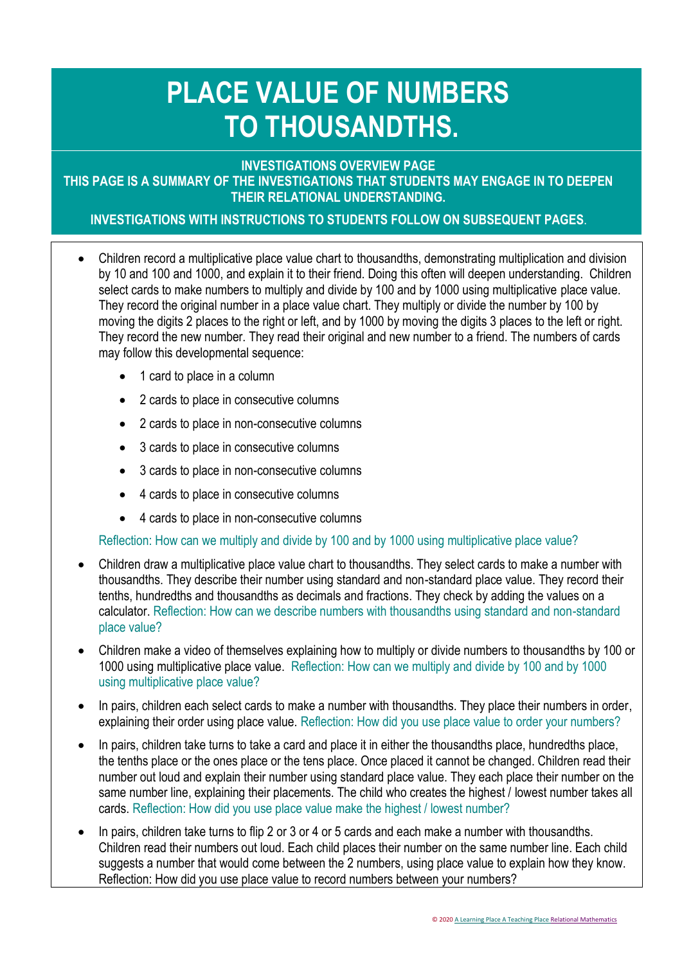#### **PLACE VALUE OF NUMBERS TO THOUSANDTHS.**

#### **INVESTIGATIONS OVERVIEW PAGE THIS PAGE IS A SUMMARY OF THE INVESTIGATIONS THAT STUDENTS MAY ENGAGE IN TO DEEPEN THEIR RELATIONAL UNDERSTANDING.**

#### **INVESTIGATIONS WITH INSTRUCTIONS TO STUDENTS FOLLOW ON SUBSEQUENT PAGES.**

- Children record a multiplicative place value chart to thousandths, demonstrating multiplication and division by 10 and 100 and 1000, and explain it to their friend. Doing this often will deepen understanding. Children select cards to make numbers to multiply and divide by 100 and by 1000 using multiplicative place value. They record the original number in a place value chart. They multiply or divide the number by 100 by moving the digits 2 places to the right or left, and by 1000 by moving the digits 3 places to the left or right. They record the new number. They read their original and new number to a friend. The numbers of cards may follow this developmental sequence:
	- 1 card to place in a column
	- 2 cards to place in consecutive columns
	- 2 cards to place in non-consecutive columns
	- 3 cards to place in consecutive columns
	- 3 cards to place in non-consecutive columns
	- 4 cards to place in consecutive columns
	- 4 cards to place in non-consecutive columns

#### Reflection: How can we multiply and divide by 100 and by 1000 using multiplicative place value?

- Children draw a multiplicative place value chart to thousandths. They select cards to make a number with thousandths. They describe their number using standard and non-standard place value. They record their tenths, hundredths and thousandths as decimals and fractions. They check by adding the values on a calculator. Reflection: How can we describe numbers with thousandths using standard and non-standard place value?
- Children make a video of themselves explaining how to multiply or divide numbers to thousandths by 100 or 1000 using multiplicative place value. Reflection: How can we multiply and divide by 100 and by 1000 using multiplicative place value?
- In pairs, children each select cards to make a number with thousandths. They place their numbers in order, explaining their order using place value. Reflection: How did you use place value to order your numbers?
- In pairs, children take turns to take a card and place it in either the thousandths place, hundredths place, the tenths place or the ones place or the tens place. Once placed it cannot be changed. Children read their number out loud and explain their number using standard place value. They each place their number on the same number line, explaining their placements. The child who creates the highest / lowest number takes all cards. Reflection: How did you use place value make the highest / lowest number?
- In pairs, children take turns to flip 2 or 3 or 4 or 5 cards and each make a number with thousandths. Children read their numbers out loud. Each child places their number on the same number line. Each child suggests a number that would come between the 2 numbers, using place value to explain how they know. Reflection: How did you use place value to record numbers between your numbers?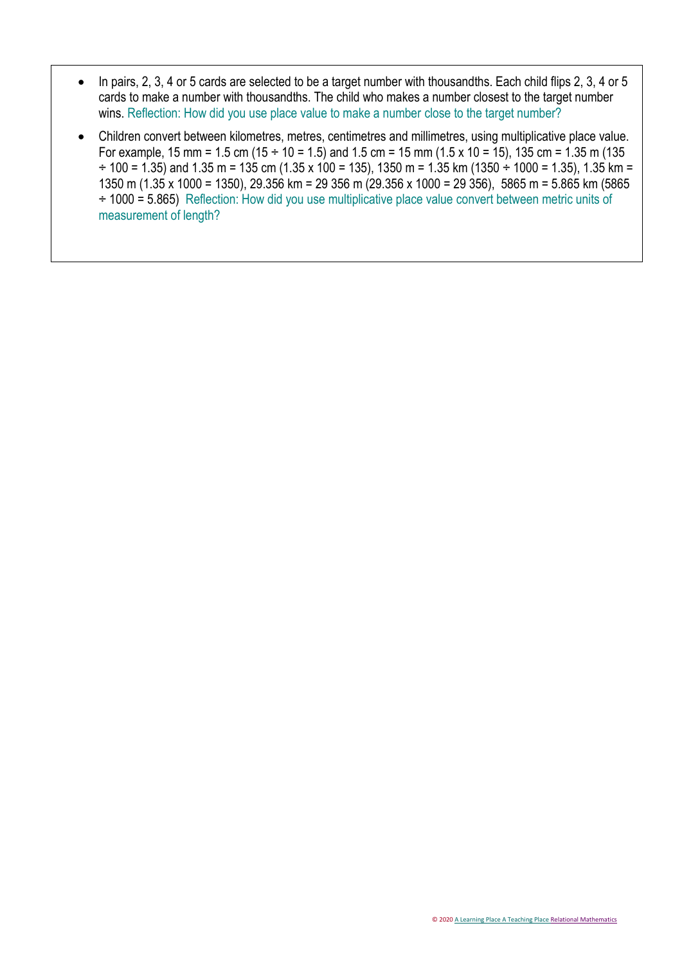- In pairs, 2, 3, 4 or 5 cards are selected to be a target number with thousandths. Each child flips 2, 3, 4 or 5 cards to make a number with thousandths. The child who makes a number closest to the target number wins. Reflection: How did you use place value to make a number close to the target number?
- Children convert between kilometres, metres, centimetres and millimetres, using multiplicative place value. For example, 15 mm = 1.5 cm (15  $\div$  10 = 1.5) and 1.5 cm = 15 mm (1.5 x 10 = 15), 135 cm = 1.35 m (135  $\div$  100 = 1.35) and 1.35 m = 135 cm (1.35 x 100 = 135), 1350 m = 1.35 km (1350  $\div$  1000 = 1.35), 1.35 km = 1350 m (1.35 x 1000 = 1350), 29.356 km = 29 356 m (29.356 x 1000 = 29 356), 5865 m = 5.865 km (5865 ÷ 1000 = 5.865) Reflection: How did you use multiplicative place value convert between metric units of measurement of length?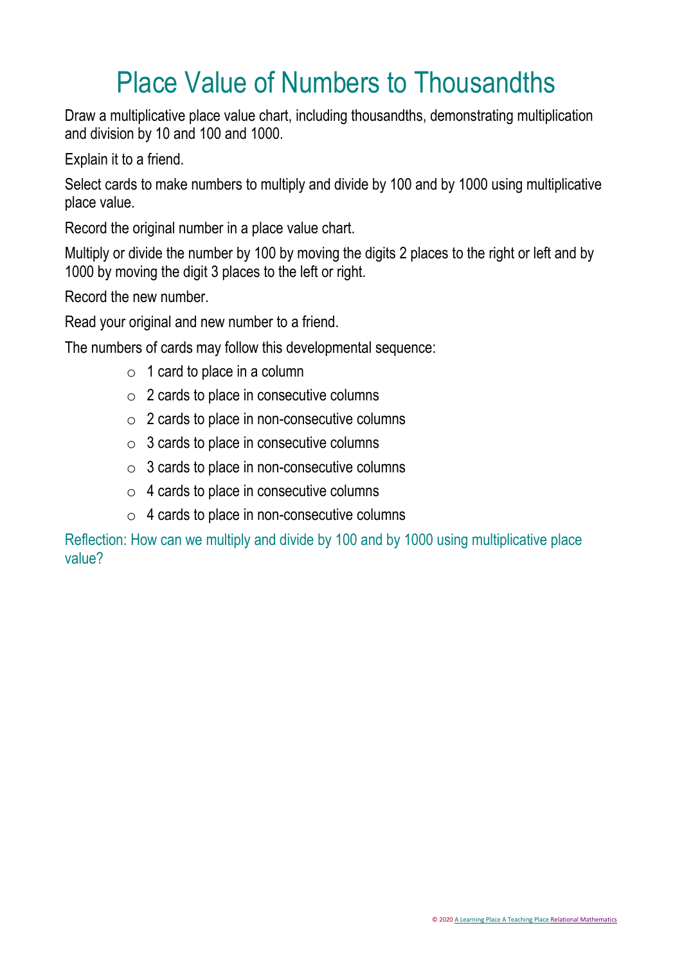Draw a multiplicative place value chart, including thousandths, demonstrating multiplication and division by 10 and 100 and 1000.

Explain it to a friend.

Select cards to make numbers to multiply and divide by 100 and by 1000 using multiplicative place value.

Record the original number in a place value chart.

Multiply or divide the number by 100 by moving the digits 2 places to the right or left and by 1000 by moving the digit 3 places to the left or right.

Record the new number.

Read your original and new number to a friend.

The numbers of cards may follow this developmental sequence:

- $\circ$  1 card to place in a column
- $\circ$  2 cards to place in consecutive columns
- $\circ$  2 cards to place in non-consecutive columns
- $\circ$  3 cards to place in consecutive columns
- $\circ$  3 cards to place in non-consecutive columns
- $\circ$  4 cards to place in consecutive columns
- $\circ$  4 cards to place in non-consecutive columns

Reflection: How can we multiply and divide by 100 and by 1000 using multiplicative place value?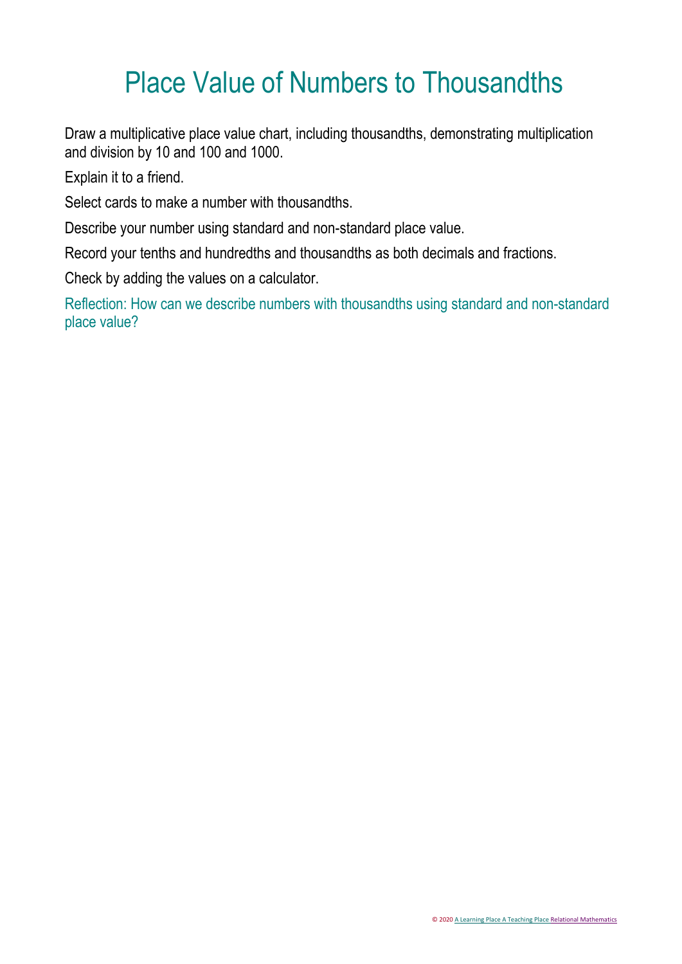Draw a multiplicative place value chart, including thousandths, demonstrating multiplication and division by 10 and 100 and 1000.

Explain it to a friend.

Select cards to make a number with thousandths.

Describe your number using standard and non-standard place value.

Record your tenths and hundredths and thousandths as both decimals and fractions.

Check by adding the values on a calculator.

Reflection: How can we describe numbers with thousandths using standard and non-standard place value?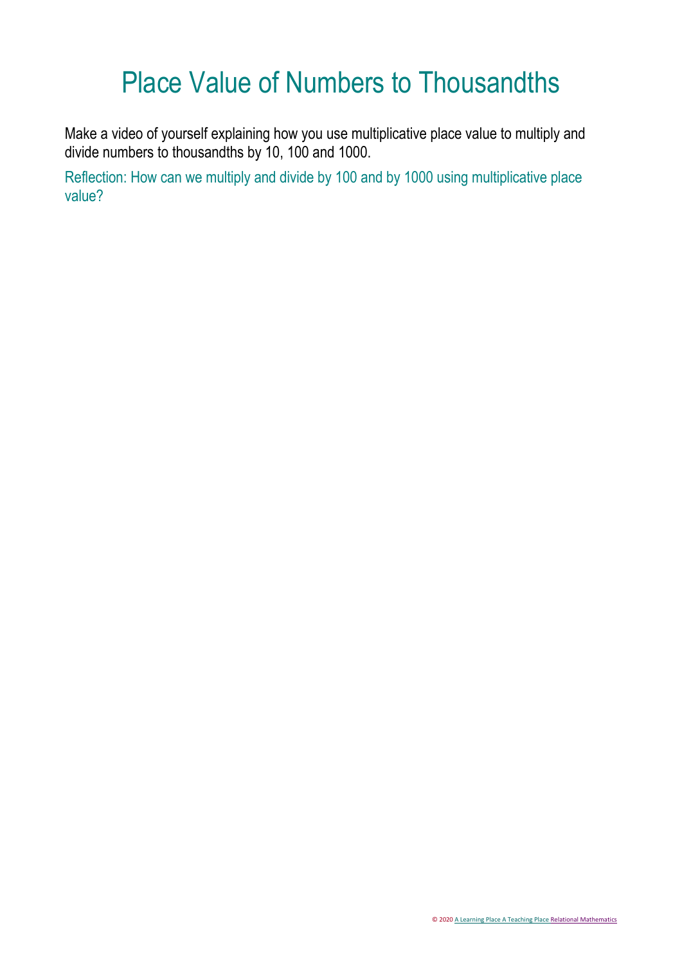Make a video of yourself explaining how you use multiplicative place value to multiply and divide numbers to thousandths by 10, 100 and 1000.

Reflection: How can we multiply and divide by 100 and by 1000 using multiplicative place value?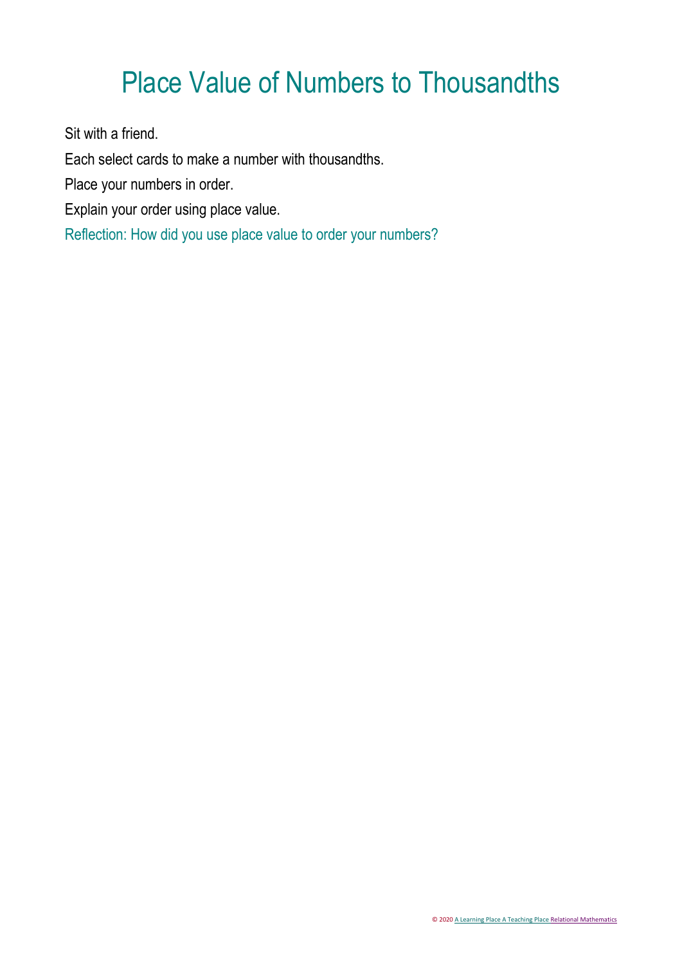Sit with a friend.

Each select cards to make a number with thousandths.

Place your numbers in order.

Explain your order using place value.

Reflection: How did you use place value to order your numbers?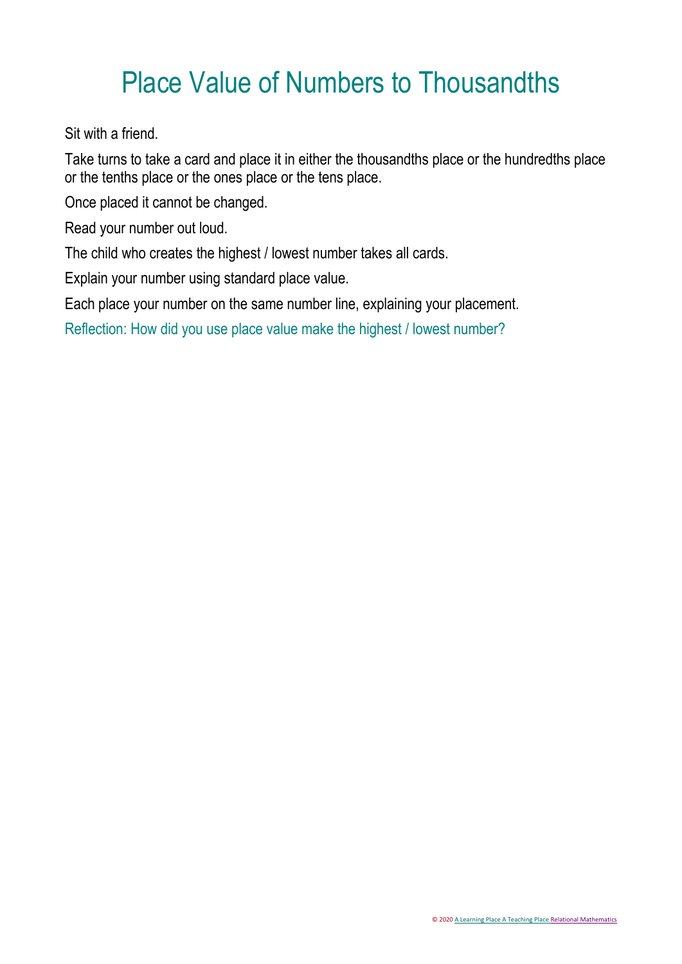Sit with a friend.

Take turns to take a card and place it in either the thousandths place or the hundredths place or the tenths place or the ones place or the tens place.

Once placed it cannot be changed.

Read your number out loud.

The child who creates the highest / lowest number takes all cards.

Explain your number using standard place value.

Each place your number on the same number line, explaining your placement.

Reflection: How did you use place value make the highest / lowest number?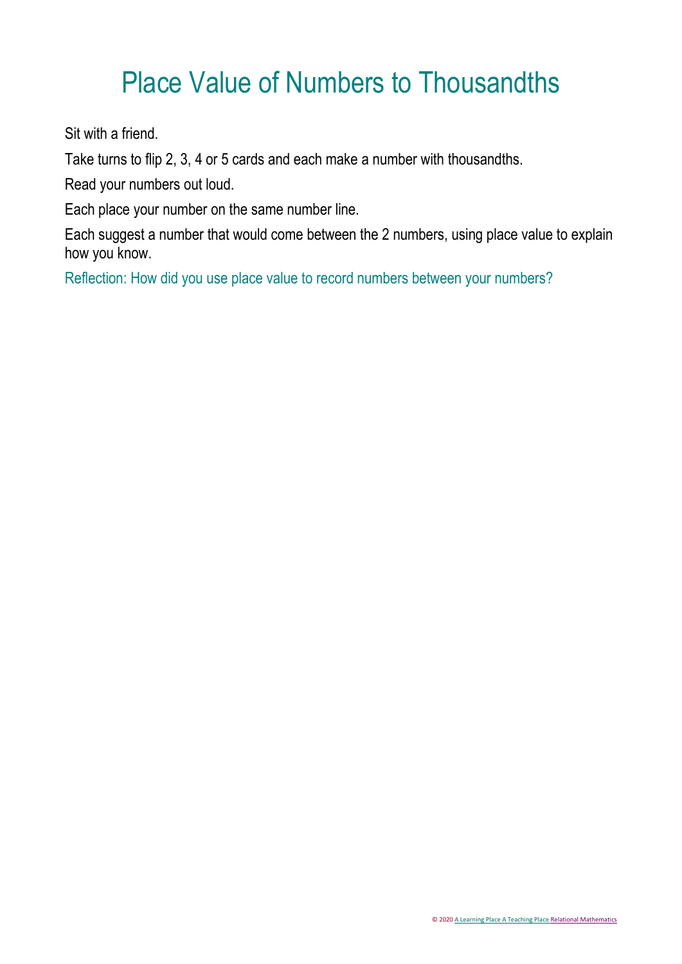Sit with a friend.

Take turns to flip 2, 3, 4 or 5 cards and each make a number with thousandths.

Read your numbers out loud.

Each place your number on the same number line.

Each suggest a number that would come between the 2 numbers, using place value to explain how you know.

Reflection: How did you use place value to record numbers between your numbers?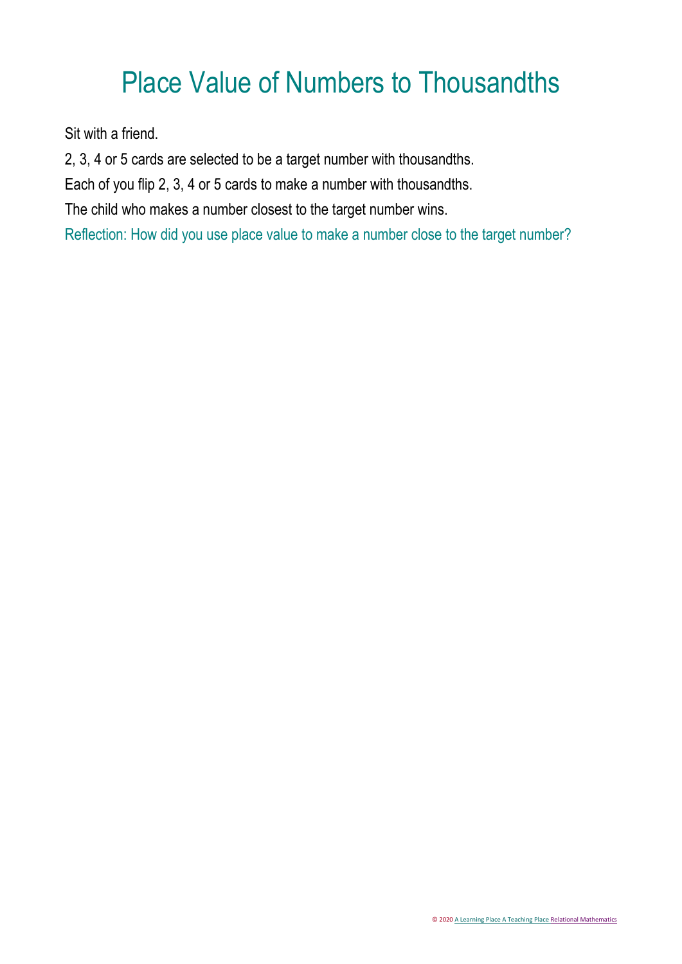Sit with a friend.

2, 3, 4 or 5 cards are selected to be a target number with thousandths.

Each of you flip 2, 3, 4 or 5 cards to make a number with thousandths.

The child who makes a number closest to the target number wins.

Reflection: How did you use place value to make a number close to the target number?